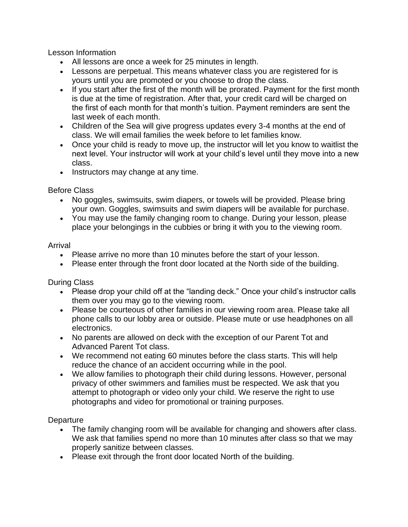Lesson Information

- All lessons are once a week for 25 minutes in length.
- Lessons are perpetual. This means whatever class you are registered for is yours until you are promoted or you choose to drop the class.
- If you start after the first of the month will be prorated. Payment for the first month is due at the time of registration. After that, your credit card will be charged on the first of each month for that month's tuition. Payment reminders are sent the last week of each month.
- Children of the Sea will give progress updates every 3-4 months at the end of class. We will email families the week before to let families know.
- Once your child is ready to move up, the instructor will let you know to waitlist the next level. Your instructor will work at your child's level until they move into a new class.
- Instructors may change at any time.

Before Class

- No goggles, swimsuits, swim diapers, or towels will be provided. Please bring your own. Goggles, swimsuits and swim diapers will be available for purchase.
- You may use the family changing room to change. During your lesson, please place your belongings in the cubbies or bring it with you to the viewing room.

## Arrival

- Please arrive no more than 10 minutes before the start of your lesson.
- Please enter through the front door located at the North side of the building.

During Class

- Please drop your child off at the "landing deck." Once your child's instructor calls them over you may go to the viewing room.
- Please be courteous of other families in our viewing room area. Please take all phone calls to our lobby area or outside. Please mute or use headphones on all electronics.
- No parents are allowed on deck with the exception of our Parent Tot and Advanced Parent Tot class.
- We recommend not eating 60 minutes before the class starts. This will help reduce the chance of an accident occurring while in the pool.
- We allow families to photograph their child during lessons. However, personal privacy of other swimmers and families must be respected. We ask that you attempt to photograph or video only your child. We reserve the right to use photographs and video for promotional or training purposes.

**Departure** 

- The family changing room will be available for changing and showers after class. We ask that families spend no more than 10 minutes after class so that we may properly sanitize between classes.
- Please exit through the front door located North of the building.